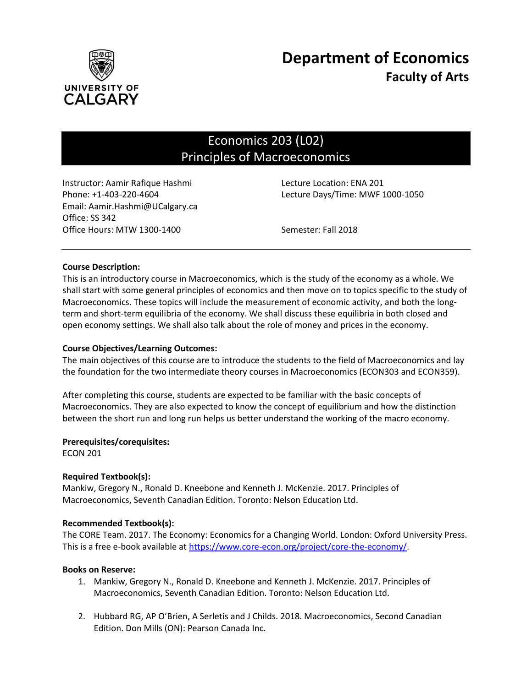

# Economics 203 (L02) Principles of Macroeconomics

Instructor: Aamir Rafique Hashmi Lecture Location: ENA 201 Email: Aamir.Hashmi@UCalgary.ca Office: SS 342 Office Hours: MTW 1300-1400 Semester: Fall 2018

Phone: +1-403-220-4604 Lecture Days/Time: MWF 1000-1050

# **Course Description:**

This is an introductory course in Macroeconomics, which is the study of the economy as a whole. We shall start with some general principles of economics and then move on to topics specific to the study of Macroeconomics. These topics will include the measurement of economic activity, and both the longterm and short-term equilibria of the economy. We shall discuss these equilibria in both closed and open economy settings. We shall also talk about the role of money and prices in the economy.

# **Course Objectives/Learning Outcomes:**

The main objectives of this course are to introduce the students to the field of Macroeconomics and lay the foundation for the two intermediate theory courses in Macroeconomics (ECON303 and ECON359).

After completing this course, students are expected to be familiar with the basic concepts of Macroeconomics. They are also expected to know the concept of equilibrium and how the distinction between the short run and long run helps us better understand the working of the macro economy.

# **Prerequisites/corequisites:**

ECON 201

# **Required Textbook(s):**

Mankiw, Gregory N., Ronald D. Kneebone and Kenneth J. McKenzie. 2017. Principles of Macroeconomics, Seventh Canadian Edition. Toronto: Nelson Education Ltd.

# **Recommended Textbook(s):**

The CORE Team. 2017. The Economy: Economics for a Changing World. London: Oxford University Press. This is a free e-book available a[t https://www.core-econ.org/project/core-the-economy/.](https://www.core-econ.org/project/core-the-economy/)

# **Books on Reserve:**

- 1. Mankiw, Gregory N., Ronald D. Kneebone and Kenneth J. McKenzie. 2017. Principles of Macroeconomics, Seventh Canadian Edition. Toronto: Nelson Education Ltd.
- 2. Hubbard RG, AP O'Brien, A Serletis and J Childs. 2018. Macroeconomics, Second Canadian Edition. Don Mills (ON): Pearson Canada Inc.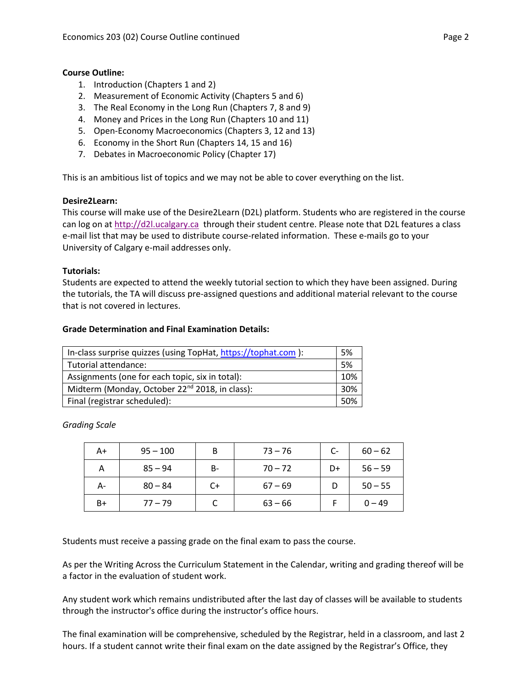# **Course Outline:**

- 1. Introduction (Chapters 1 and 2)
- 2. Measurement of Economic Activity (Chapters 5 and 6)
- 3. The Real Economy in the Long Run (Chapters 7, 8 and 9)
- 4. Money and Prices in the Long Run (Chapters 10 and 11)
- 5. Open-Economy Macroeconomics (Chapters 3, 12 and 13)
- 6. Economy in the Short Run (Chapters 14, 15 and 16)
- 7. Debates in Macroeconomic Policy (Chapter 17)

This is an ambitious list of topics and we may not be able to cover everything on the list.

# **Desire2Learn:**

This course will make use of the Desire2Learn (D2L) platform. Students who are registered in the course can log on a[t http://d2l.ucalgary.ca](http://d2l.ucalgary.ca/) through their student centre. Please note that D2L features a class e-mail list that may be used to distribute course-related information. These e-mails go to your University of Calgary e-mail addresses only.

# **Tutorials:**

Students are expected to attend the weekly tutorial section to which they have been assigned. During the tutorials, the TA will discuss pre-assigned questions and additional material relevant to the course that is not covered in lectures.

# **Grade Determination and Final Examination Details:**

| In-class surprise quizzes (using TopHat, https://tophat.com ): | 5%  |  |
|----------------------------------------------------------------|-----|--|
| Tutorial attendance:                                           | .5% |  |
| Assignments (one for each topic, six in total):                | 10% |  |
| Midterm (Monday, October 22 <sup>nd</sup> 2018, in class):     | 30% |  |
| Final (registrar scheduled):                                   |     |  |

*Grading Scale*

| A+   | $95 - 100$ | B  | $73 - 76$ | $C-$ | $60 - 62$ |
|------|------------|----|-----------|------|-----------|
| А    | $85 - 94$  | B- | $70 - 72$ | D+   | $56 - 59$ |
| А-   | $80 - 84$  | C+ | $67 - 69$ |      | $50 - 55$ |
| $B+$ | $77 - 79$  |    | $63 - 66$ |      | $0 - 49$  |

Students must receive a passing grade on the final exam to pass the course.

As per the Writing Across the Curriculum Statement in the Calendar, writing and grading thereof will be a factor in the evaluation of student work.

Any student work which remains undistributed after the last day of classes will be available to students through the instructor's office during the instructor's office hours.

The final examination will be comprehensive, scheduled by the Registrar, held in a classroom, and last 2 hours. If a student cannot write their final exam on the date assigned by the Registrar's Office, they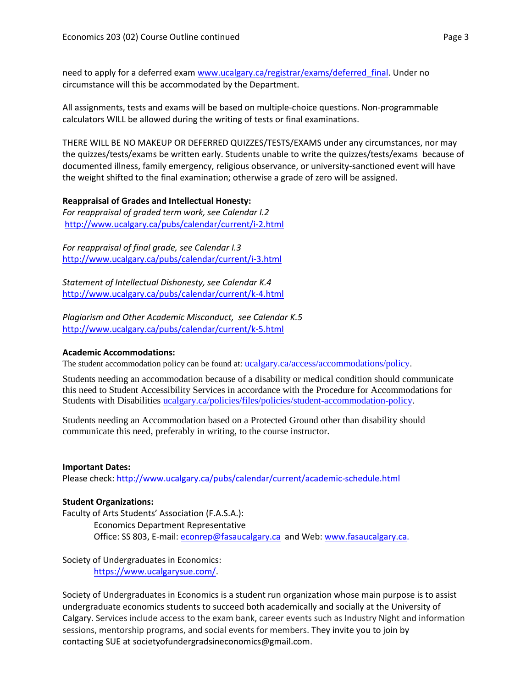need to apply for a deferred exam [www.ucalgary.ca/registrar/exams/deferred\\_final.](http://www.ucalgary.ca/registrar/exams/deferred_final) Under no circumstance will this be accommodated by the Department.

All assignments, tests and exams will be based on multiple-choice questions. Non-programmable calculators WILL be allowed during the writing of tests or final examinations.

THERE WILL BE NO MAKEUP OR DEFERRED QUIZZES/TESTS/EXAMS under any circumstances, nor may the quizzes/tests/exams be written early. Students unable to write the quizzes/tests/exams because of documented illness, family emergency, religious observance, or university-sanctioned event will have the weight shifted to the final examination; otherwise a grade of zero will be assigned.

# **Reappraisal of Grades and Intellectual Honesty:**

*For reappraisal of graded term work, see Calendar I.2* <http://www.ucalgary.ca/pubs/calendar/current/i-2.html>

*For reappraisal of final grade, see Calendar I.3* <http://www.ucalgary.ca/pubs/calendar/current/i-3.html>

*Statement of Intellectual Dishonesty, see Calendar K.4* <http://www.ucalgary.ca/pubs/calendar/current/k-4.html>

*Plagiarism and Other Academic Misconduct, see Calendar K.5* <http://www.ucalgary.ca/pubs/calendar/current/k-5.html>

# **Academic Accommodations:**

The student accommodation policy can be found at: [ucalgary.ca/access/accommodations/policy](http://www.ucalgary.ca/access/accommodations/policy).

Students needing an accommodation because of a disability or medical condition should communicate this need to Student Accessibility Services in accordance with the Procedure for Accommodations for Students with Disabilities [ucalgary.ca/policies/files/policies/student-accommodation-policy.](http://www.ucalgary.ca/policies/files/policies/student-accommodation-policy.pdf)

Students needing an Accommodation based on a Protected Ground other than disability should communicate this need, preferably in writing, to the course instructor.

# **Important Dates:**

Please check:<http://www.ucalgary.ca/pubs/calendar/current/academic-schedule.html>

# **Student Organizations:**

Faculty of Arts Students' Association (F.A.S.A.): Economics Department Representative Office: SS 803, E-mail: [econrep@fasaucalgary.ca](mailto:econrep@fasaucalgary.ca) and Web[: www.fasaucalgary.ca.](http://www.fasaucalgary.ca/)

Society of Undergraduates in Economics: [https://www.ucalgarysue.com/.](https://www.ucalgarysue.com/)

Society of Undergraduates in Economics is a student run organization whose main purpose is to assist undergraduate economics students to succeed both academically and socially at the University of Calgary. Services include access to the exam bank, career events such as Industry Night and information sessions, mentorship programs, and social events for members. They invite you to join by contacting SUE at societyofundergradsineconomics@gmail.com.